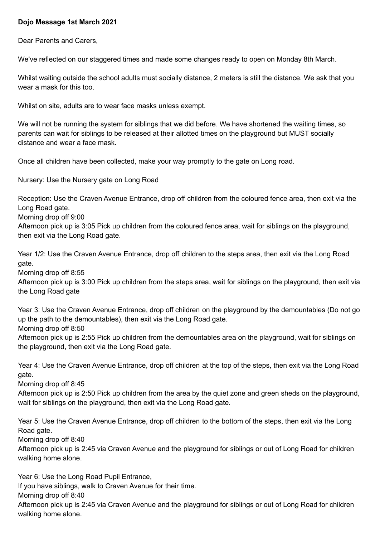## **Dojo Message 1st March 2021**

Dear Parents and Carers,

We've reflected on our staggered times and made some changes ready to open on Monday 8th March.

Whilst waiting outside the school adults must socially distance, 2 meters is still the distance. We ask that you wear a mask for this too.

Whilst on site, adults are to wear face masks unless exempt.

We will not be running the system for siblings that we did before. We have shortened the waiting times, so parents can wait for siblings to be released at their allotted times on the playground but MUST socially distance and wear a face mask.

Once all children have been collected, make your way promptly to the gate on Long road.

Nursery: Use the Nursery gate on Long Road

Reception: Use the Craven Avenue Entrance, drop off children from the coloured fence area, then exit via the Long Road gate.

Morning drop off 9:00

Afternoon pick up is 3:05 Pick up children from the coloured fence area, wait for siblings on the playground, then exit via the Long Road gate.

Year 1/2: Use the Craven Avenue Entrance, drop off children to the steps area, then exit via the Long Road gate.

Morning drop off 8:55

Afternoon pick up is 3:00 Pick up children from the steps area, wait for siblings on the playground, then exit via the Long Road gate

Year 3: Use the Craven Avenue Entrance, drop off children on the playground by the demountables (Do not go up the path to the demountables), then exit via the Long Road gate.

Morning drop off 8:50

Afternoon pick up is 2:55 Pick up children from the demountables area on the playground, wait for siblings on the playground, then exit via the Long Road gate.

Year 4: Use the Craven Avenue Entrance, drop off children at the top of the steps, then exit via the Long Road gate.

Morning drop off 8:45

Afternoon pick up is 2:50 Pick up children from the area by the quiet zone and green sheds on the playground, wait for siblings on the playground, then exit via the Long Road gate.

Year 5: Use the Craven Avenue Entrance, drop off children to the bottom of the steps, then exit via the Long Road gate.

Morning drop off 8:40

Afternoon pick up is 2:45 via Craven Avenue and the playground for siblings or out of Long Road for children walking home alone.

Year 6: Use the Long Road Pupil Entrance,

If you have siblings, walk to Craven Avenue for their time.

Morning drop off 8:40

Afternoon pick up is 2:45 via Craven Avenue and the playground for siblings or out of Long Road for children walking home alone.